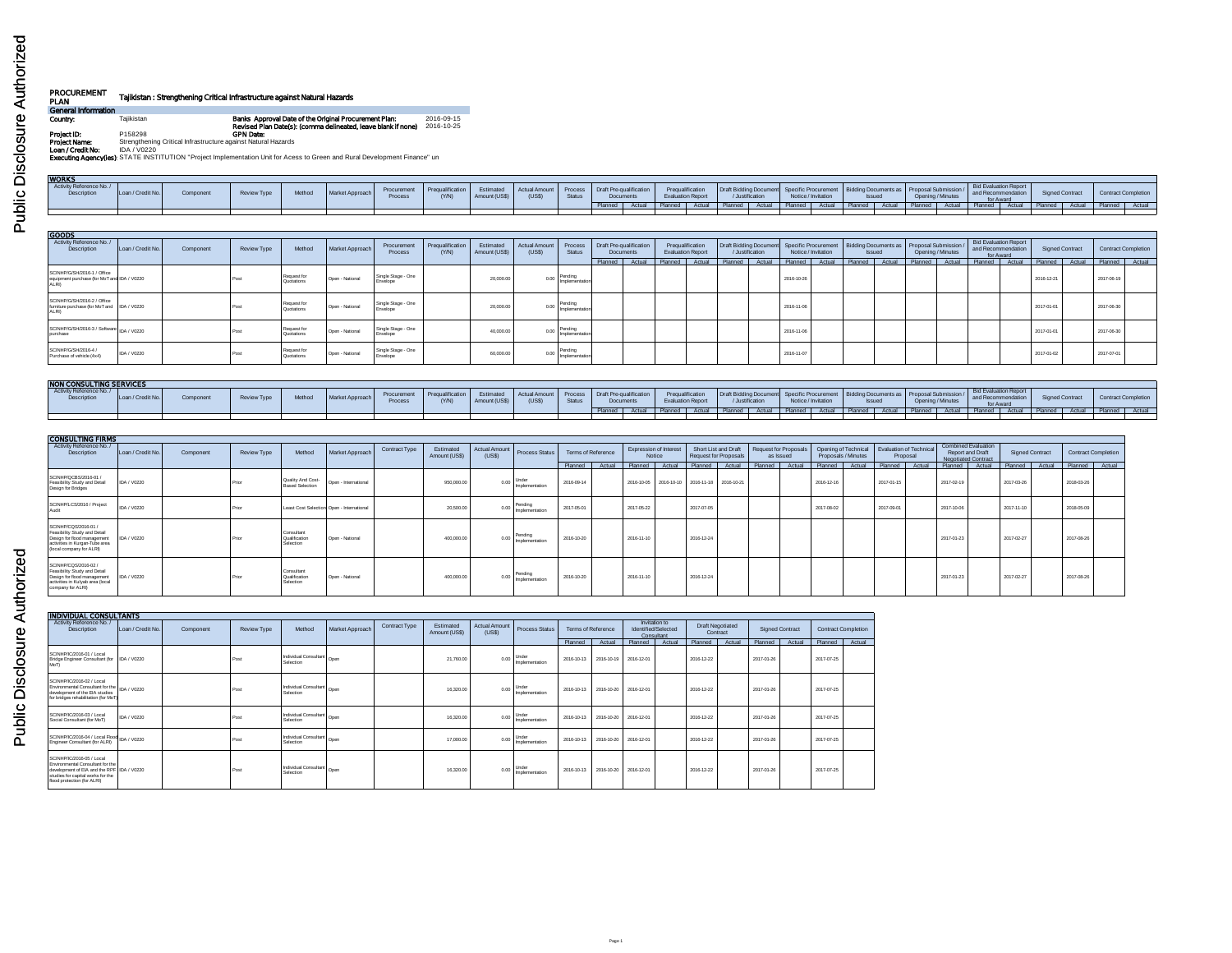| Í<br>ĭ      |  |
|-------------|--|
| ١<br>z<br>D |  |
|             |  |

## **PROCUREMENT PLAN Tajikistan : Strengthening Critical Infrastructure against Natural Hazards General Information**

**Country:** Tajikistan<br>**Revised Plan Date(s): Country Countries and Approval Date of the Original Processes Apples and Date of the Medi<br>Project Name: Strengthening Critical Infrastructure against Natural Hazards<br><b>Loan / Cre** 

| Loan / Credit No. | <b>Component</b> | Review Type | Method | Procurement<br>Process |                 | (USS)                    |               |  |           |                                                                                                                                                                   |  |  |                                                                   |                       |         |        |                    |                 |                                                      |
|-------------------|------------------|-------------|--------|------------------------|-----------------|--------------------------|---------------|--|-----------|-------------------------------------------------------------------------------------------------------------------------------------------------------------------|--|--|-------------------------------------------------------------------|-----------------------|---------|--------|--------------------|-----------------|------------------------------------------------------|
|                   |                  |             |        |                        |                 |                          |               |  |           |                                                                                                                                                                   |  |  |                                                                   |                       |         |        |                    |                 |                                                      |
|                   |                  |             |        |                        |                 |                          |               |  |           |                                                                                                                                                                   |  |  |                                                                   |                       |         |        |                    |                 |                                                      |
|                   |                  |             |        |                        |                 |                          |               |  |           |                                                                                                                                                                   |  |  |                                                                   |                       |         |        |                    |                 |                                                      |
|                   |                  |             |        |                        | Market Approach | $Prequalification$ (Y/N) | Amount (US\$) |  | Documents | Estimated Actual Amount Process Draft Pre-qualification Prequalification Amount (US\$) (US\$) Status Documents Evaluation Report<br>Planned Actual Planned Actual |  |  | <b>Issued</b><br>al Planned   Actual   Planned   Actual   Planned | Actual Planned Actual | Planned | Actual | and Recommendation | Signed Contract | Contract Completion<br>Planned Actual Planned Actual |

| <b>GOODS</b>                                                                          |                   |           |             |                          |                 |                                |                          |                            |                               |                           |                                             |        |                                              |         |                 |                     |        |                                                                                                               |        |                   |                                                          |        |                        |        |                     |  |
|---------------------------------------------------------------------------------------|-------------------|-----------|-------------|--------------------------|-----------------|--------------------------------|--------------------------|----------------------------|-------------------------------|---------------------------|---------------------------------------------|--------|----------------------------------------------|---------|-----------------|---------------------|--------|---------------------------------------------------------------------------------------------------------------|--------|-------------------|----------------------------------------------------------|--------|------------------------|--------|---------------------|--|
| Activity Reference No./<br>Description                                                | Loan / Credit No. | Component | Review Type | Method                   | Market Approach | Procurement<br>Process         | Pregualification<br>(YM) | Estimated<br>Amount (US\$) | <b>Actual Amount</b><br>(USS) | Process<br><b>Status</b>  | Draft Pre-qualification<br><b>Documents</b> |        | Pregualification<br><b>Evaluation Report</b> |         | / Justification | Notice / Invitation |        | Draft Bidding Document   Specific Procurement   Bidding Documents as   Proposal Submission /<br><b>Issued</b> |        | Opening / Minutes | Bid Evaluation Report<br>and Recommendation<br>for Award |        | <b>Signed Contract</b> |        | Contract Completion |  |
|                                                                                       |                   |           |             |                          |                 |                                |                          |                            |                               |                           | Planned                                     | Actual | Planned Actual                               | Planned | Actual          | Planned             | Actual | Planned                                                                                                       | Actual | Planned Actual    | Planned                                                  | Actual | Planned                | Actual | Planned Actual      |  |
| SCINHP/G/SH/2016-1 / Office<br>equipment purchase (for MoT and IDA / V0220<br>ALRI)   |                   |           | Post        | Request fo<br>Quotations | Open - National | Single Stage - One<br>Envelope |                          | 20,000.0                   | 0.00                          | Pending<br>mplementatio   |                                             |        |                                              |         |                 | 2016-10-26          |        |                                                                                                               |        |                   |                                                          |        | 2016-12-21             |        | 2017-06-19          |  |
| SCINHP/G/SH/2016-2 / Office<br>furniture purchase (for MoT and   IDA / V0220<br>ALRI) |                   |           | Post        | Request fo<br>Quotations | Open - National | Single Stage - One<br>Envelope |                          | 20,000.0                   |                               | Pending<br>Implementatio  |                                             |        |                                              |         |                 | 2016-11-06          |        |                                                                                                               |        |                   |                                                          |        | 2017-01-01             |        | 2017-06-30          |  |
| SCINHP/G/SH/2016-3 / Software   IDA / V0220<br>purchase                               |                   |           | Post        | Request fo<br>Quotations | Open - National | Single Stage - One<br>Envelope |                          | 40,000.0                   |                               | Pending<br>Implementation |                                             |        |                                              |         |                 | 2016-11-06          |        |                                                                                                               |        |                   |                                                          |        | 2017-01-01             |        | 2017-06-30          |  |
| SCINHP/G/SH/2016-4 /<br>Purchase of vehicle (4x4)                                     | IDA / V0220       |           | Post        | Request fo<br>Quotations | Open - National | Single Stage - One<br>Envelope |                          | 60,000.0                   | 0.00                          | Pending<br>Implementation |                                             |        |                                              |         |                 | 2016-11-07          |        |                                                                                                               |        |                   |                                                          |        | 2017-01-02             |        | 2017-07-01          |  |

| NON CONSULTING SERVICES                       |                   |          |        |                  |                     |                                                                |               |        |                                     |        |                                              |                 |                       |               |        |                   |         |                                                                                                                                                       |          |                 |                |                     |
|-----------------------------------------------|-------------------|----------|--------|------------------|---------------------|----------------------------------------------------------------|---------------|--------|-------------------------------------|--------|----------------------------------------------|-----------------|-----------------------|---------------|--------|-------------------|---------|-------------------------------------------------------------------------------------------------------------------------------------------------------|----------|-----------------|----------------|---------------------|
| Activity Reference No./<br><b>Description</b> | Loan / Credit No. | Componer | Method | Market Approach. | Procureme<br>Proces | <b>Prequalification Estimated Actual Amount Process</b><br>N/N | Amount (US\$) | Status | Draft Pre-qualification<br>Documer. |        | Pregualification<br><b>Evaluation Report</b> | / Justification | Notice / Invitation   | <b>Issued</b> |        | Opening / Minutes |         | <b>Bid Evaluation Report</b><br>-warmcation Draft Bidding Document Specific Procurement Bidding Documents as Proposal Submission / and Recommendation |          | Signed Contract |                | Contract Completion |
|                                               |                   |          |        |                  |                     |                                                                |               |        |                                     | Actual | I Planned Actual                             | Planned         | Actual Planned Actual | Planned I     | Actual | Planned           | منتصد ا | <b>Planned</b>                                                                                                                                        | A street | Planned Actual  | Planned Actual |                     |
|                                               |                   |          |        |                  |                     |                                                                |               |        |                                     |        |                                              |                 |                       |               |        |                   |         |                                                                                                                                                       |          |                 |                |                     |

| <b>CONSULTING FIRMS</b>                                                                                                                           |                   |           |             |                                          |                                           |               |                            |                                |                           |                    |        |            |                                         |            |                                               |                      |                  |                     |                                                           |        |            |                                                                              |            |                 |                     |  |
|---------------------------------------------------------------------------------------------------------------------------------------------------|-------------------|-----------|-------------|------------------------------------------|-------------------------------------------|---------------|----------------------------|--------------------------------|---------------------------|--------------------|--------|------------|-----------------------------------------|------------|-----------------------------------------------|----------------------|------------------|---------------------|-----------------------------------------------------------|--------|------------|------------------------------------------------------------------------------|------------|-----------------|---------------------|--|
| Activity Reference No./<br>Description                                                                                                            | Loan / Credit No. | Component | Review Type | Method                                   | Market Approach                           | Contract Type | Estimated<br>Amount (US\$) | <b>Actual Amount</b><br>(US\$) | <b>Process Status</b>     | Terms of Reference |        |            | <b>Expression of Interest</b><br>Notice |            | Short List and Draft<br>Request for Proposals | Request for Proposal | as Issued        | Proposals / Minutes | Opening of Technical   Evaluation of Technica<br>Proposal |        |            | <b>Combined Evaluation</b><br>Report and Draft<br><b>Negotiated Contract</b> |            | Signed Contract | Contract Completion |  |
|                                                                                                                                                   |                   |           |             |                                          |                                           |               |                            |                                |                           | Planned            | Actual | Planned    | Actual                                  |            | Planned Actual                                |                      | Planned   Actual | Planned Actual      | Planned                                                   | Actual | Planned    | Actual                                                                       | Planned    | Actual          | Planned   Actual    |  |
| SCINHP/QCBS/2016-01 /<br>Feasibility Study and Detail<br>Design for Bridges                                                                       | IDA / V0220       |           | Prior       | Quality And Cost-<br>Rased Selection     | Open - International                      |               | 950,000.0                  | 0.00                           | Under<br>Implementation   | 2016-09-14         |        |            |                                         |            | 2016-10-05 2016-10-10 2016-11-18 2016-10-21   |                      |                  | 2016-12-16          | 2017-01-15                                                |        | 2017-02-19 |                                                                              | 2017-03-26 |                 | 2018-03-26          |  |
| SCINHP/LCS/2016 / Project<br>Audit                                                                                                                | IDA / V0220       |           | Prior       |                                          | Least Cost Selection Open - International |               | 20,500.0                   |                                | Pending<br>Implementation | 2017-05-01         |        | 2017-05-22 |                                         | 2017-07-05 |                                               |                      |                  | 2017-08-02          | 2017-09-01                                                |        | 2017-10-06 |                                                                              | 2017-11-10 |                 | 2018-05-09          |  |
| SCINHP/CQS/2016-01 /<br>Feasibility Study and Detail<br>Design for flood management<br>activities in Kurgan-Tube area<br>(local company for ALRI) | DA / V0220        |           | Print       | Consultant<br>Qualification<br>Selection | Open - National                           |               | 400,000.0                  | 0.00                           | Pending<br>Implementation | 2016-10-20         |        | 2016-11-10 |                                         | 2016-12-24 |                                               |                      |                  |                     |                                                           |        | 2017-01-23 |                                                                              | 2017-02-27 |                 | 2017-08-26          |  |
| SCINHP/CQS/2016-02 /<br>Feasibility Study and Detail<br>Design for flood management<br>activities in Kulyab area (local<br>company for ALRI)      | IDA / V0220       |           | Print       | Consultant<br>Qualification<br>Selection | Open - National                           |               | 400,000.0                  | 0.00                           | Pending<br>Implementation | 2016-10-20         |        | 2016-11-10 |                                         | 2016-12-24 |                                               |                      |                  |                     |                                                           |        | 2017-01-23 |                                                                              | 2017-02-27 |                 | 2017-08-26          |  |

| <b>INDIVIDUAL CONSULTANTS</b>                                                                                                                                                   |                   |           |                    |                                      |                 |               |                            |                                |                         |                    |            |            |                                                    |                                     |        |                        |        |                            |        |
|---------------------------------------------------------------------------------------------------------------------------------------------------------------------------------|-------------------|-----------|--------------------|--------------------------------------|-----------------|---------------|----------------------------|--------------------------------|-------------------------|--------------------|------------|------------|----------------------------------------------------|-------------------------------------|--------|------------------------|--------|----------------------------|--------|
| Activity Reference No./<br>Description                                                                                                                                          | Loan / Credit No. | Component | <b>Review Type</b> | Method                               | Market Approach | Contract Type | Estimated<br>Amount (US\$) | <b>Actual Amount</b><br>(US\$) | <b>Process Status</b>   | Terms of Reference |            |            | Invitation to<br>Identified/Selected<br>Consultant | <b>Draft Negotiated</b><br>Contract |        | <b>Signed Contract</b> |        | <b>Contract Completion</b> |        |
|                                                                                                                                                                                 |                   |           |                    |                                      |                 |               |                            |                                |                         | Planned            | Actua      | Planned    | Actua                                              | Planned                             | Actual | Planned                | Actual | Planned                    | Actual |
| SCINHP/IC/2016-01 / Local<br>Bridge Engineer Consultant (for   IDA / V0220<br>Mo <sub>T</sub>                                                                                   |                   |           | Post               | Individual Consultant<br>Selection   | Open            |               | 21,760.00                  | 0.00                           | Under<br>Implementation | 2016-10-13         | 2016-10-19 | 2016-12-01 |                                                    | 2016-12-22                          |        | 2017-01-26             |        | 2017-07-25                 |        |
| SCINHP/IC/2016-02 / Local<br>Environmental Consultant for the IDA / V0220<br>development of the EIA studies<br>for bridges rehabilitation (for MoT                              |                   |           | Post               | I Individual Consultant<br>Selection |                 |               | 16,320.00                  | 0.00                           | Under<br>Implementation | 2016-10-13         | 2016-10-20 | 2016-12-01 |                                                    | 2016-12-22                          |        | 2017-01-26             |        | 2017-07-25                 |        |
| SCINHP/IC/2016-03 / Local<br>Social Consultant (for MoT)                                                                                                                        | IDA / V0220       |           | Post               | Individual Consultant<br>Selection   | Open            |               | 16,320.00                  | 0.00                           | Under<br>Implementation | 2016-10-13         | 2016-10-20 | 2016-12-01 |                                                    | 2016-12-22                          |        | 2017-01-26             |        | 2017-07-25                 |        |
| SCINHP/IC/2016-04 / Local Flood IDA / V0220<br>Engineer Consultant (for ALRI)                                                                                                   |                   |           | Post               | Individual Consultant<br>Selection   | Open            |               | 17,000.00                  | 0.00                           | Under<br>Implementation | 2016-10-13         | 2016-10-20 | 2016-12-01 |                                                    | 2016-12-22                          |        | 2017-01-26             |        | 2017-07-25                 |        |
| SCINHP/IC/2016-05 / Local<br>Environmental Consultant for the<br>development of EIA and the RPF IDA / V0220<br>studies for capital works for the<br>flood protection (for ALRI) |                   |           | Post               | Individual Consultant<br>Selection   | Open            |               | 16,320.00                  | 0.00                           | Under<br>Implementation | 2016-10-13         | 2016-10-20 | 2016-12-01 |                                                    | 2016-12-22                          |        | 2017-01-26             |        | 2017-07-25                 |        |